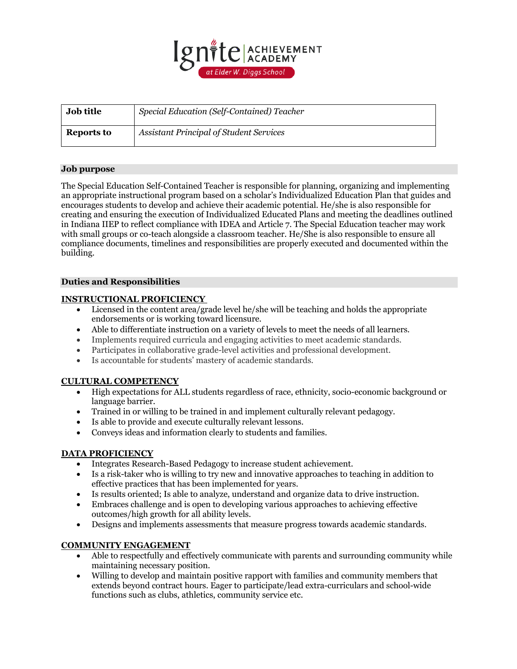

| <b>Job title</b> | Special Education (Self-Contained) Teacher     |
|------------------|------------------------------------------------|
| Reports to       | <b>Assistant Principal of Student Services</b> |

## **Job purpose**

The Special Education Self-Contained Teacher is responsible for planning, organizing and implementing an appropriate instructional program based on a scholar's Individualized Education Plan that guides and encourages students to develop and achieve their academic potential. He/she is also responsible for creating and ensuring the execution of Individualized Educated Plans and meeting the deadlines outlined in Indiana IIEP to reflect compliance with IDEA and Article 7. The Special Education teacher may work with small groups or co-teach alongside a classroom teacher. He/She is also responsible to ensure all compliance documents, timelines and responsibilities are properly executed and documented within the building.

## **Duties and Responsibilities**

## **INSTRUCTIONAL PROFICIENCY**

- Licensed in the content area/grade level he/she will be teaching and holds the appropriate endorsements or is working toward licensure.
- Able to differentiate instruction on a variety of levels to meet the needs of all learners.
- Implements required curricula and engaging activities to meet academic standards.
- Participates in collaborative grade-level activities and professional development.
- Is accountable for students' mastery of academic standards.

## **CULTURAL COMPETENCY**

- High expectations for ALL students regardless of race, ethnicity, socio-economic background or language barrier.
- Trained in or willing to be trained in and implement culturally relevant pedagogy.
- Is able to provide and execute culturally relevant lessons.
- Conveys ideas and information clearly to students and families.

# **DATA PROFICIENCY**

- Integrates Research-Based Pedagogy to increase student achievement.
- Is a risk-taker who is willing to try new and innovative approaches to teaching in addition to effective practices that has been implemented for years.
- Is results oriented; Is able to analyze, understand and organize data to drive instruction.
- Embraces challenge and is open to developing various approaches to achieving effective outcomes/high growth for all ability levels.
- Designs and implements assessments that measure progress towards academic standards.

## **COMMUNITY ENGAGEMENT**

- Able to respectfully and effectively communicate with parents and surrounding community while maintaining necessary position.
- Willing to develop and maintain positive rapport with families and community members that extends beyond contract hours. Eager to participate/lead extra-curriculars and school-wide functions such as clubs, athletics, community service etc.